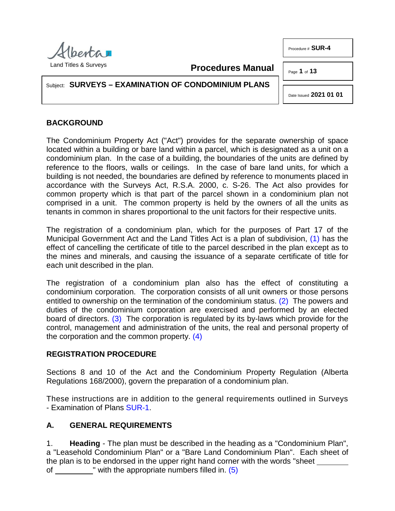

Procedure # **SUR-4**

Page **1** of **13**

Subject: **SURVEYS – EXAMINATION OF CONDOMINIUM PLANS**

<span id="page-0-1"></span><span id="page-0-0"></span>Date Issued **2021 01 01**

# **BACKGROUND**

The Condominium Property Act ("Act") provides for the separate ownership of space located within a building or bare land within a parcel, which is designated as a unit on a condominium plan. In the case of a building, the boundaries of the units are defined by reference to the floors, walls or ceilings. In the case of bare land units, for which a building is not needed, the boundaries are defined by reference to monuments placed in accordance with the Surveys Act, R.S.A. 2000, c. S-26. The Act also provides for common property which is that part of the parcel shown in a condominium plan not comprised in a unit. The common property is held by the owners of all the units as tenants in common in shares proportional to the unit factors for their respective units.

**Procedures Manual**

The registration of a condominium plan, which for the purposes of Part 17 of the Municipal Government Act and the Land Titles Act is a plan of subdivision, [\(1\)](#page-11-0) has the effect of cancelling the certificate of title to the parcel described in the plan except as to the mines and minerals, and causing the issuance of a separate certificate of title for each unit described in the plan.

<span id="page-0-2"></span>The registration of a condominium plan also has the effect of constituting a condominium corporation. The corporation consists of all unit owners or those persons entitled to ownership on the termination of the condominium status. [\(2\)](#page-11-1) The powers and duties of the condominium corporation are exercised and performed by an elected board of directors. [\(3\)](#page-12-0) The corporation is regulated by its by-laws which provide for the control, management and administration of the units, the real and personal property of the corporation and the common property. [\(4\)](#page-12-1)

### <span id="page-0-3"></span>**REGISTRATION PROCEDURE**

Sections 8 and 10 of the Act and the Condominium Property Regulation (Alberta Regulations 168/2000), govern the preparation of a condominium plan.

These instructions are in addition to the general requirements outlined in Surveys - Examination of Plans [SUR-1.](http://www.servicealberta.ca/pdf/ltmanual/SUR-1.pdf)

# **A. GENERAL REQUIREMENTS**

1. **Heading** - The plan must be described in the heading as a "Condominium Plan", a "Leasehold Condominium Plan" or a "Bare Land Condominium Plan". Each sheet of the plan is to be endorsed in the upper right hand corner with the words "sheet

<span id="page-0-4"></span>of " with the appropriate numbers filled in. [\(5\)](#page-12-2)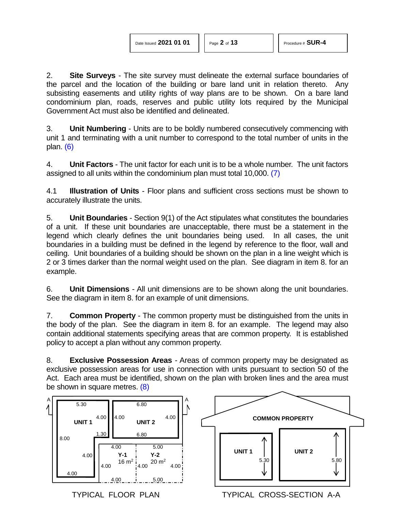2. **Site Surveys** - The site survey must delineate the external surface boundaries of the parcel and the location of the building or bare land unit in relation thereto. Any subsisting easements and utility rights of way plans are to be shown. On a bare land condominium plan, roads, reserves and public utility lots required by the Municipal Government Act must also be identified and delineated.

<span id="page-1-0"></span>3. **Unit Numbering** - Units are to be boldly numbered consecutively commencing with unit 1 and terminating with a unit number to correspond to the total number of units in the plan. [\(6\)](#page-12-3)

<span id="page-1-1"></span>4. **Unit Factors** - The unit factor for each unit is to be a whole number. The unit factors assigned to all units within the condominium plan must total 10,000. [\(7\)](#page-12-4)

4.1 **Illustration of Units** - Floor plans and sufficient cross sections must be shown to accurately illustrate the units.

5. **Unit Boundaries** - Section 9(1) of the Act stipulates what constitutes the boundaries of a unit. If these unit boundaries are unacceptable, there must be a statement in the legend which clearly defines the unit boundaries being used. In all cases, the unit boundaries in a building must be defined in the legend by reference to the floor, wall and ceiling. Unit boundaries of a building should be shown on the plan in a line weight which is 2 or 3 times darker than the normal weight used on the plan. See diagram in item 8. for an example.

6. **Unit Dimensions** - All unit dimensions are to be shown along the unit boundaries. See the diagram in item 8. for an example of unit dimensions.

7. **Common Property** - The common property must be distinguished from the units in the body of the plan. See the diagram in item 8. for an example. The legend may also contain additional statements specifying areas that are common property. It is established policy to accept a plan without any common property.

8. **Exclusive Possession Areas** - Areas of common property may be designated as exclusive possession areas for use in connection with units pursuant to section 50 of the Act. Each area must be identified, shown on the plan with broken lines and the area must be shown in square metres. [\(8\)](#page-12-5)

<span id="page-1-2"></span>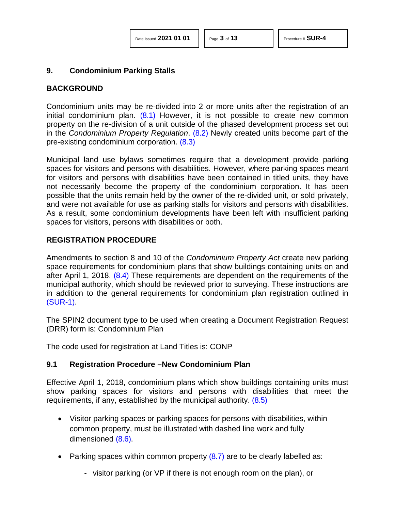#### **9. Condominium Parking Stalls**

### **BACKGROUND**

<span id="page-2-1"></span><span id="page-2-0"></span>Condominium units may be re-divided into 2 or more units after the registration of an initial condominium plan.  $(8.1)$  However, it is not possible to create new common property on the re-division of a unit outside of the phased development process set out in the *Condominium Property Regulation*. [\(8.2\)](#page-12-7) Newly created units become part of the pre-existing condominium corporation. [\(8.3\)](#page-12-8)

<span id="page-2-2"></span>Municipal land use bylaws sometimes require that a development provide parking spaces for visitors and persons with disabilities. However, where parking spaces meant for visitors and persons with disabilities have been contained in titled units, they have not necessarily become the property of the condominium corporation. It has been possible that the units remain held by the owner of the re-divided unit, or sold privately, and were not available for use as parking stalls for visitors and persons with disabilities. As a result, some condominium developments have been left with insufficient parking spaces for visitors, persons with disabilities or both.

### **REGISTRATION PROCEDURE**

<span id="page-2-3"></span>Amendments to section 8 and 10 of the *Condominium Property Act* create new parking space requirements for condominium plans that show buildings containing units on and after April 1, 2018. [\(8.4\)](#page-12-9) These requirements are dependent on the requirements of the municipal authority, which should be reviewed prior to surveying. These instructions are in addition to the general requirements for condominium plan registration outlined in [\(SUR-1\).](http://www.servicealberta.gov.ab.ca/pdf/ltmanual/SUR-1.pdf)

The SPIN2 document type to be used when creating a Document Registration Request (DRR) form is: Condominium Plan

The code used for registration at Land Titles is: CONP

#### **9.1 Registration Procedure –New Condominium Plan**

Effective April 1, 2018, condominium plans which show buildings containing units must show parking spaces for visitors and persons with disabilities that meet the requirements, if any, established by the municipal authority. [\(8.5\)](#page-12-10)

- <span id="page-2-4"></span>• Visitor parking spaces or parking spaces for persons with disabilities, within common property, must be illustrated with dashed line work and fully dimensioned [\(8.6\).](#page-12-11)
- <span id="page-2-6"></span><span id="page-2-5"></span>• Parking spaces within common property  $(8.7)$  are to be clearly labelled as:
	- visitor parking (or VP if there is not enough room on the plan), or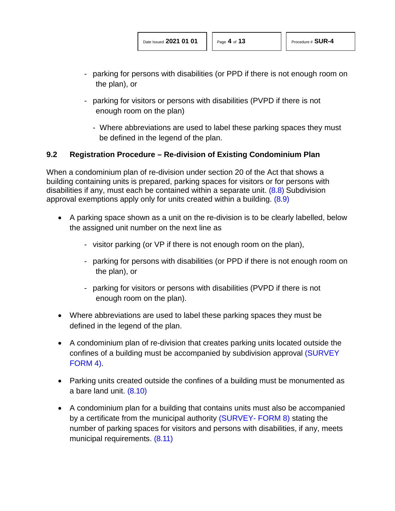- parking for persons with disabilities (or PPD if there is not enough room on the plan), or
- <span id="page-3-1"></span><span id="page-3-0"></span>parking for visitors or persons with disabilities (PVPD if there is not enough room on the plan)
	- Where abbreviations are used to label these parking spaces they must be defined in the legend of the plan.

### **9.2 Registration Procedure – Re-division of Existing Condominium Plan**

When a condominium plan of re-division under section 20 of the Act that shows a building containing units is prepared, parking spaces for visitors or for persons with disabilities if any, must each be contained within a separate unit. [\(8.8\)](#page-12-13) Subdivision approval exemptions apply only for units created within a building. [\(8.9\)](#page-12-14)

- A parking space shown as a unit on the re-division is to be clearly labelled, below the assigned unit number on the next line as
	- visitor parking (or VP if there is not enough room on the plan),
	- parking for persons with disabilities (or PPD if there is not enough room on the plan), or
	- parking for visitors or persons with disabilities (PVPD if there is not enough room on the plan).
- Where abbreviations are used to label these parking spaces they must be defined in the legend of the plan.
- A condominium plan of re-division that creates parking units located outside the confines of a building must be accompanied by subdivision approval [\(SURVEY](http://www.servicealberta.ca/pdf/ltmanual/SURVEY-FORM4.pdf)  [FORM 4\).](http://www.servicealberta.ca/pdf/ltmanual/SURVEY-FORM4.pdf)
- <span id="page-3-2"></span>• Parking units created outside the confines of a building must be monumented as a bare land unit. [\(8.10\)](#page-12-15)
- <span id="page-3-3"></span>• A condominium plan for a building that contains units must also be accompanied by a certificate from the municipal authority [\(SURVEY-](http://www.servicealberta.ca/pdf/ltmanual/survey-form8.pdf) FORM 8) stating the number of parking spaces for visitors and persons with disabilities, if any, meets municipal requirements. [\(8.11\)](#page-12-16)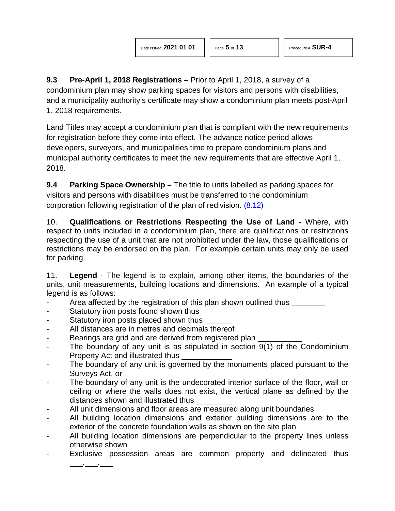**9.3 Pre-April 1, 2018 Registrations –** Prior to April 1, 2018, a survey of a condominium plan may show parking spaces for visitors and persons with disabilities, and a municipality authority's certificate may show a condominium plan meets post-April 1, 2018 requirements.

Land Titles may accept a condominium plan that is compliant with the new requirements for registration before they come into effect. The advance notice period allows developers, surveyors, and municipalities time to prepare condominium plans and municipal authority certificates to meet the new requirements that are effective April 1, 2018.

**9.4 Parking Space Ownership –** The title to units labelled as parking spaces for visitors and persons with disabilities must be transferred to the condominium corporation following registration of the plan of redivision. [\(8.12\)](#page-12-17)

<span id="page-4-0"></span>10. **Qualifications or Restrictions Respecting the Use of Land** - Where, with respect to units included in a condominium plan, there are qualifications or restrictions respecting the use of a unit that are not prohibited under the law, those qualifications or restrictions may be endorsed on the plan. For example certain units may only be used for parking.

11. **Legend** - The legend is to explain, among other items, the boundaries of the units, unit measurements, building locations and dimensions. An example of a typical legend is as follows:

- Area affected by the registration of this plan shown outlined thus
- Statutory iron posts found shown thus

. .

- Statutory iron posts placed shown thus
- All distances are in metres and decimals thereof
- Bearings are grid and are derived from registered plan
- The boundary of any unit is as stipulated in section  $9(1)$  of the Condominium Property Act and illustrated thus
- The boundary of any unit is governed by the monuments placed pursuant to the Surveys Act, or
- The boundary of any unit is the undecorated interior surface of the floor, wall or ceiling or where the walls does not exist, the vertical plane as defined by the distances shown and illustrated thus
- All unit dimensions and floor areas are measured along unit boundaries
- All building location dimensions and exterior building dimensions are to the exterior of the concrete foundation walls as shown on the site plan
- All building location dimensions are perpendicular to the property lines unless otherwise shown
- Exclusive possession areas are common property and delineated thus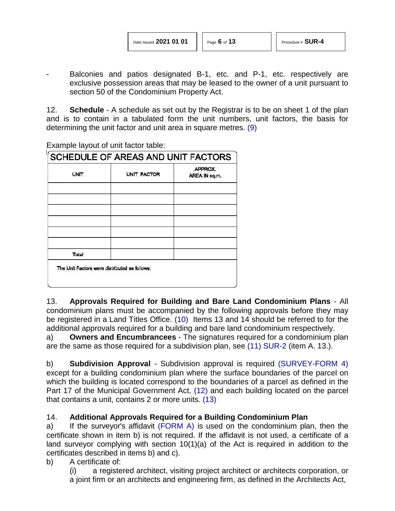<span id="page-5-0"></span>

Balconies and patios designated B-1, etc. and P-1, etc. respectively are exclusive possession areas that may be leased to the owner of a unit pursuant to section 50 of the Condominium Property Act.

12. **Schedule** - A schedule as set out by the Registrar is to be on sheet 1 of the plan and is to contain in a tabulated form the unit numbers, unit factors, the basis for determining the unit factor and unit area in square metres. [\(9\)](#page-12-18)

Example layout of unit factor table:

| SCHEDULE OF AREAS AND UNIT FACTORS            |             |                          |  |  |
|-----------------------------------------------|-------------|--------------------------|--|--|
| <b>UNIT</b>                                   | UNIT FACTOR | APPROX.<br>AREA IN sq.m. |  |  |
|                                               |             |                          |  |  |
|                                               |             |                          |  |  |
|                                               |             |                          |  |  |
|                                               |             |                          |  |  |
|                                               |             |                          |  |  |
| Total                                         |             |                          |  |  |
| The Unit Factors were distributed as follows: |             |                          |  |  |
|                                               |             |                          |  |  |

<span id="page-5-1"></span>13. **Approvals Required for Building and Bare Land Condominium Plans** - All condominium plans must be accompanied by the following approvals before they may be registered in a Land Titles Office. [\(10\)](#page-12-19) Items 13 and 14 should be referred to for the additional approvals required for a building and bare land condominium respectively.

<span id="page-5-2"></span>a) **Owners and Encumbrancees** - The signatures required for a condominium plan are the same as those required for a subdivision plan, see [\(11\)](#page-12-20) [SUR-2](http://www.servicealberta.ca/pdf/ltmanual/SUR-2.pdf) (item A. 13.).

b) **Subdivision Approval** - Subdivision approval is required [\(SURVEY-FORM 4\)](http://www.servicealberta.ca/pdf/ltmanual/SURVEY-FORM4.pdf) except for a building condominium plan where the surface boundaries of the parcel on which the building is located correspond to the boundaries of a parcel as defined in the Part 17 of the Municipal Government Act, [\(12\)](#page-12-21) and each building located on the parcel that contains a unit, contains 2 or more units. [\(13\)](#page-12-22)

### <span id="page-5-3"></span>14. **Additional Approvals Required for a Building Condominium Plan**

a) If the surveyor's affidavit [\(FORM A\)](http://www.servicealberta.ca/pdf/ltmanual/SUR-4-FORMA.pdf) is used on the condominium plan, then the certificate shown in item b) is not required. If the affidavit is not used, a certificate of a land surveyor complying with section 10(1)(a) of the Act is required in addition to the certificates described in items b) and c).

b) A certificate of:

<span id="page-5-4"></span>(i) a registered architect, visiting project architect or architects corporation, or a joint firm or an architects and engineering firm, as defined in the Architects Act,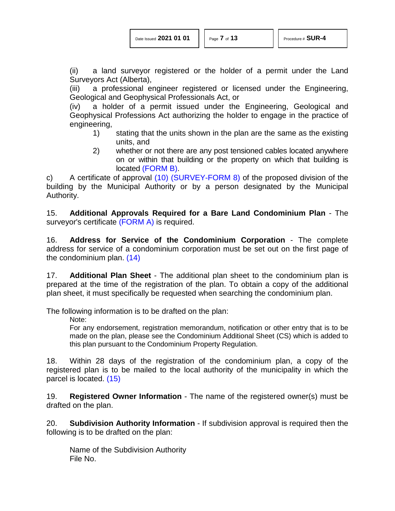| Date Issued 2021 01 01 |  |  |  |
|------------------------|--|--|--|
|------------------------|--|--|--|

(ii) a land surveyor registered or the holder of a permit under the Land Surveyors Act (Alberta),

(iii) a professional engineer registered or licensed under the Engineering, Geological and Geophysical Professionals Act, or

(iv) a holder of a permit issued under the Engineering, Geological and Geophysical Professions Act authorizing the holder to engage in the practice of engineering,

- 1) stating that the units shown in the plan are the same as the existing units, and
- 2) whether or not there are any post tensioned cables located anywhere on or within that building or the property on which that building is located [\(FORM B\).](http://servicealberta.ca/pdf/ltmanual/SUR-4-FORMB.pdf)

c) A certificate of approval [\(10\)](#page-12-19) [\(SURVEY-FORM 8\)](http://www.servicealberta.ca/pdf/ltmanual/SURVEY-FORM8.pdf) of the proposed division of the building by the Municipal Authority or by a person designated by the Municipal Authority.

15. **Additional Approvals Required for a Bare Land Condominium Plan** - The surveyor's certificate [\(FORM A\)](http://www.servicealberta.ca/pdf/ltmanual/SUR-4-FORMA.pdf) is required.

<span id="page-6-0"></span>16. **Address for Service of the Condominium Corporation** - The complete address for service of a condominium corporation must be set out on the first page of the condominium plan. [\(14\)](#page-12-23)

17. **Additional Plan Sheet** - The additional plan sheet to the condominium plan is prepared at the time of the registration of the plan. To obtain a copy of the additional plan sheet, it must specifically be requested when searching the condominium plan.

The following information is to be drafted on the plan:

Note:

For any endorsement, registration memorandum, notification or other entry that is to be made on the plan, please see the Condominium Additional Sheet (CS) which is added to this plan pursuant to the Condominium Property Regulation.

<span id="page-6-1"></span>18. Within 28 days of the registration of the condominium plan, a copy of the registered plan is to be mailed to the local authority of the municipality in which the parcel is located. [\(15\)](#page-12-24)

19. **Registered Owner Information** - The name of the registered owner(s) must be drafted on the plan.

20. **Subdivision Authority Information** - If subdivision approval is required then the following is to be drafted on the plan:

Name of the Subdivision Authority File No.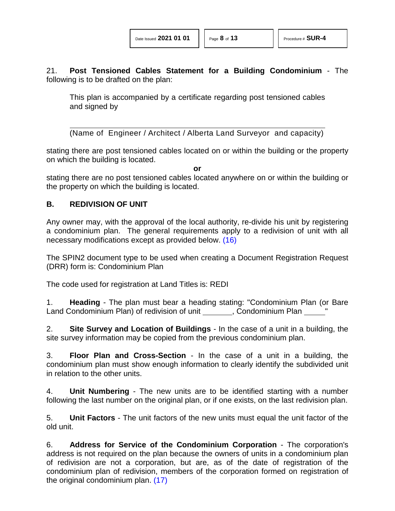21. **Post Tensioned Cables Statement for a Building Condominium** - The following is to be drafted on the plan:

This plan is accompanied by a certificate regarding post tensioned cables and signed by

(Name of Engineer / Architect / Alberta Land Surveyor and capacity)

stating there are post tensioned cables located on or within the building or the property on which the building is located.

<span id="page-7-0"></span>**or**

stating there are no post tensioned cables located anywhere on or within the building or the property on which the building is located.

### **B. REDIVISION OF UNIT**

Any owner may, with the approval of the local authority, re-divide his unit by registering a condominium plan. The general requirements apply to a redivision of unit with all necessary modifications except as provided below. [\(16\)](#page-12-25)

The SPIN2 document type to be used when creating a Document Registration Request (DRR) form is: Condominium Plan

The code used for registration at Land Titles is: REDI

1. **Heading** - The plan must bear a heading stating: "Condominium Plan (or Bare Land Condominium Plan) of redivision of unit (i.e. Condominium Plan

2. **Site Survey and Location of Buildings** - In the case of a unit in a building, the site survey information may be copied from the previous condominium plan.

3. **Floor Plan and Cross-Section** - In the case of a unit in a building, the condominium plan must show enough information to clearly identify the subdivided unit in relation to the other units.

4. **Unit Numbering** - The new units are to be identified starting with a number following the last number on the original plan, or if one exists, on the last redivision plan.

5. **Unit Factors** - The unit factors of the new units must equal the unit factor of the old unit.

<span id="page-7-1"></span>6. **Address for Service of the Condominium Corporation** - The corporation's address is not required on the plan because the owners of units in a condominium plan of redivision are not a corporation, but are, as of the date of registration of the condominium plan of redivision, members of the corporation formed on registration of the original condominium plan. [\(17\)](#page-12-26)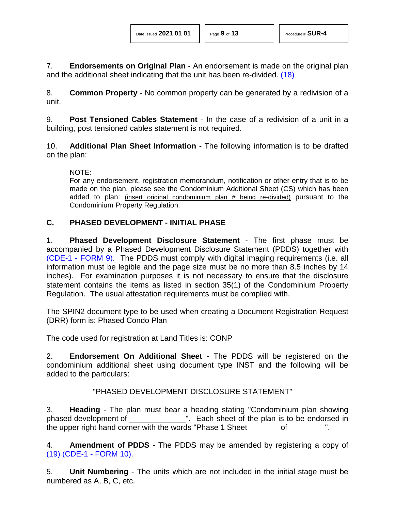7. **Endorsements on Original Plan** - An endorsement is made on the original plan and the additional sheet indicating that the unit has been re-divided. [\(18\)](#page-12-27)

8. **Common Property** - No common property can be generated by a redivision of a unit.

9. **Post Tensioned Cables Statement** - In the case of a redivision of a unit in a building, post tensioned cables statement is not required.

10. **Additional Plan Sheet Information** - The following information is to be drafted on the plan:

<span id="page-8-0"></span>NOTE:

For any endorsement, registration memorandum, notification or other entry that is to be made on the plan, please see the Condominium Additional Sheet (CS) which has been added to plan: (insert original condominium plan # being re-divided) pursuant to the Condominium Property Regulation.

### **C. PHASED DEVELOPMENT - INITIAL PHASE**

1. **Phased Development Disclosure Statement** - The first phase must be accompanied by a Phased Development Disclosure Statement (PDDS) together with (CDE-1 - [FORM 9\).](http://www.servicealberta.ca/pdf/ltmanual/CDE-1-FORM9.pdf) The PDDS must comply with digital imaging requirements (i.e. all information must be legible and the page size must be no more than 8.5 inches by 14 inches). For examination purposes it is not necessary to ensure that the disclosure statement contains the items as listed in section 35(1) of the Condominium Property Regulation. The usual attestation requirements must be complied with.

The SPIN2 document type to be used when creating a Document Registration Request (DRR) form is: Phased Condo Plan

The code used for registration at Land Titles is: CONP

2. **Endorsement On Additional Sheet** - The PDDS will be registered on the condominium additional sheet using document type INST and the following will be added to the particulars:

### "PHASED DEVELOPMENT DISCLOSURE STATEMENT"

3. **Heading** - The plan must bear a heading stating "Condominium plan showing phased development of ". Each sheet of the plan is to be endorsed in the upper right hand corner with the words "Phase 1 Sheet of

<span id="page-8-1"></span>4. **Amendment of PDDS** - The PDDS may be amended by registering a copy of [\(19\)](#page-12-28) [\(CDE-1 -](http://www.servicealberta.ca/pdf/ltmanual/CDE-1-FORM10.pdf) FORM 10).

5. **Unit Numbering** - The units which are not included in the initial stage must be numbered as A, B, C, etc.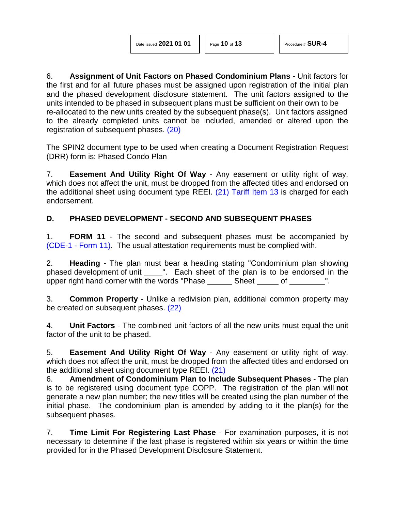6. **Assignment of Unit Factors on Phased Condominium Plans** - Unit factors for the first and for all future phases must be assigned upon registration of the initial plan and the phased development disclosure statement. The unit factors assigned to the units intended to be phased in subsequent plans must be sufficient on their own to be re-allocated to the new units created by the subsequent phase(s). Unit factors assigned to the already completed units cannot be included, amended or altered upon the registration of subsequent phases. [\(20\)](#page-12-29)

<span id="page-9-0"></span>The SPIN2 document type to be used when creating a Document Registration Request (DRR) form is: Phased Condo Plan

<span id="page-9-1"></span>7. **Easement And Utility Right Of Way** - Any easement or utility right of way, which does not affect the unit, must be dropped from the affected titles and endorsed on the additional sheet using document type REEI. [\(21\)](#page-12-30) [Tariff Item 13](http://www.servicealberta.ca/pdf/ltmanual/APPENDIXI.pdf) is charged for each endorsement.

# **D. PHASED DEVELOPMENT - SECOND AND SUBSEQUENT PHASES**

1. **FORM 11** - The second and subsequent phases must be accompanied by (CDE-1 - [Form 11\).](http://www.servicealberta.ca/pdf/ltmanual/CDE-1-FORM11.pdf) The usual attestation requirements must be complied with.

2. **Heading** - The plan must bear a heading stating "Condominium plan showing phased development of unit \_\_\_\_\_". Each sheet of the plan is to be endorsed in the upper right hand corner with the words "Phase Sheet of ".

<span id="page-9-2"></span>3. **Common Property** - Unlike a redivision plan, additional common property may be created on subsequent phases. [\(22\)](#page-12-31)

4. **Unit Factors** - The combined unit factors of all the new units must equal the unit factor of the unit to be phased.

5. **Easement And Utility Right Of Way** - Any easement or utility right of way, which does not affect the unit, must be dropped from the affected titles and endorsed on the additional sheet using document type REEI. [\(21\)](#page-12-30)

6. **Amendment of Condominium Plan to Include Subsequent Phases** - The plan is to be registered using document type COPP. The registration of the plan will **not** generate a new plan number; the new titles will be created using the plan number of the initial phase. The condominium plan is amended by adding to it the plan(s) for the subsequent phases.

7. **Time Limit For Registering Last Phase** - For examination purposes, it is not necessary to determine if the last phase is registered within six years or within the time provided for in the Phased Development Disclosure Statement.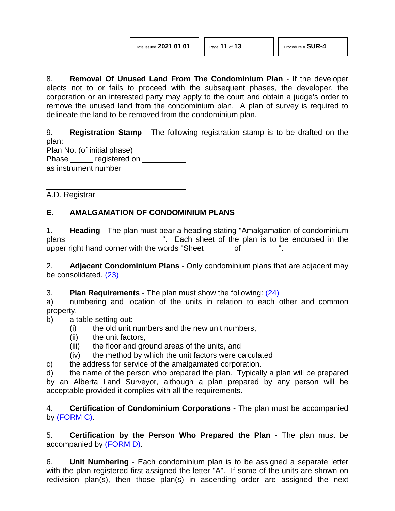8. **Removal Of Unused Land From The Condominium Plan** - If the developer elects not to or fails to proceed with the subsequent phases, the developer, the corporation or an interested party may apply to the court and obtain a judge's order to remove the unused land from the condominium plan. A plan of survey is required to delineate the land to be removed from the condominium plan.

9. **Registration Stamp** - The following registration stamp is to be drafted on the plan:

Plan No. (of initial phase) Phase \_\_\_\_\_\_ registered on \_\_\_\_\_\_\_\_\_\_ as instrument number

A.D. Registrar

# **E. AMALGAMATION OF CONDOMINIUM PLANS**

1. **Heading** - The plan must bear a heading stating "Amalgamation of condominium plans ". Each sheet of the plan is to be endorsed in the upper right hand corner with the words "Sheet of ".

<span id="page-10-0"></span>2. **Adjacent Condominium Plans** - Only condominium plans that are adjacent may be consolidated. [\(23\)](#page-12-32)

3. **Plan Requirements** - The plan must show the following: [\(24\)](#page-12-33)

a) numbering and location of the units in relation to each other and common property.

### b) a table setting out:

- <span id="page-10-1"></span>(i) the old unit numbers and the new unit numbers,
- (ii) the unit factors,
- (iii) the floor and ground areas of the units, and
- (iv) the method by which the unit factors were calculated
- c) the address for service of the amalgamated corporation.

d) the name of the person who prepared the plan. Typically a plan will be prepared by an Alberta Land Surveyor, although a plan prepared by any person will be acceptable provided it complies with all the requirements.

4. **Certification of Condominium Corporations** - The plan must be accompanied by [\(FORM](http://www.servicealberta.ca/pdf/ltmanual/SUR-4-FORMC.pdf) C).

5. **Certification by the Person Who Prepared the Plan** - The plan must be accompanied by [\(FORM D\).](http://www.servicealberta.ca/pdf/ltmanual/SUR-4-FORMD.pdf)

6. **Unit Numbering** - Each condominium plan is to be assigned a separate letter with the plan registered first assigned the letter "A". If some of the units are shown on redivision plan(s), then those plan(s) in ascending order are assigned the next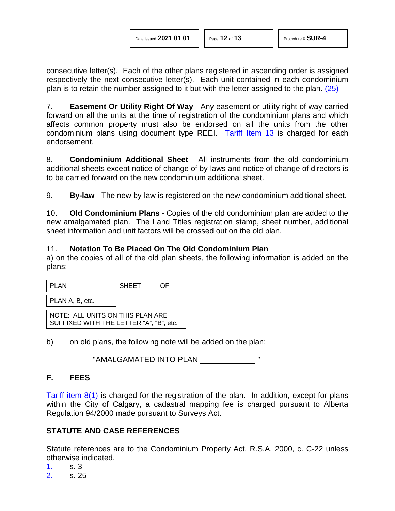<span id="page-11-2"></span>consecutive letter(s). Each of the other plans registered in ascending order is assigned respectively the next consecutive letter(s). Each unit contained in each condominium plan is to retain the number assigned to it but with the letter assigned to the plan. [\(25\)](#page-12-34)

7. **Easement Or Utility Right Of Way** - Any easement or utility right of way carried forward on all the units at the time of registration of the condominium plans and which affects common property must also be endorsed on all the units from the other condominium plans using document type REEI. [Tariff Item 13](http://www.servicealberta.ca/pdf/ltmanual/APPENDIXI.pdf) is charged for each endorsement.

8. **Condominium Additional Sheet** - All instruments from the old condominium additional sheets except notice of change of by-laws and notice of change of directors is to be carried forward on the new condominium additional sheet.

9. **By-law** - The new by-law is registered on the new condominium additional sheet.

10. **Old Condominium Plans** - Copies of the old condominium plan are added to the new amalgamated plan. The Land Titles registration stamp, sheet number, additional sheet information and unit factors will be crossed out on the old plan.

#### 11. **Notation To Be Placed On The Old Condominium Plan**

a) on the copies of all of the old plan sheets, the following information is added on the plans:

| PLAN                                                                        | <b>SHEET</b> |  |  |  |
|-----------------------------------------------------------------------------|--------------|--|--|--|
| PLAN A, B, etc.                                                             |              |  |  |  |
| NOTE: ALL UNITS ON THIS PLAN ARE<br>SUFFIXED WITH THE LETTER "A", "B", etc. |              |  |  |  |

b) on old plans, the following note will be added on the plan:

"AMALGAMATED INTO PLAN "

### **F. FEES**

[Tariff item 8\(1\)](http://www.servicealberta.ca/pdf/ltmanual/APPENDIXI.pdf) is charged for the registration of the plan. In addition, except for plans within the City of Calgary, a cadastral mapping fee is charged pursuant to Alberta Regulation 94/2000 made pursuant to Surveys Act.

### **STATUTE AND CASE REFERENCES**

Statute references are to the Condominium Property Act, R.S.A. 2000, c. C-22 unless otherwise indicated.

- <span id="page-11-0"></span>[1.](#page-0-0) s. 3
- <span id="page-11-1"></span>[2.](#page-0-1) s. 25